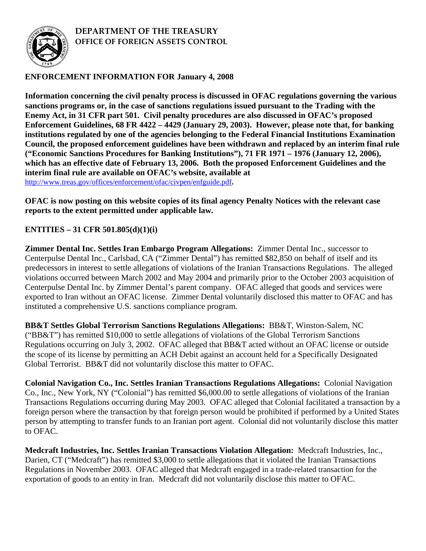

## **DEPARTMENT OF THE TREASURY OFFICE OF FOREIGN ASSETS CONTROL**

## **ENFORCEMENT INFORMATION FOR January 4, 2008**

**Information concerning the civil penalty process is discussed in OFAC regulations governing the various sanctions programs or, in the case of sanctions regulations issued pursuant to the Trading with the Enemy Act, in 31 CFR part 501. Civil penalty procedures are also discussed in OFAC's proposed Enforcement Guidelines, 68 FR 4422 – 4429 (January 29, 2003). However, please note that, for banking institutions regulated by one of the agencies belonging to the Federal Financial Institutions Examination Council, the proposed enforcement guidelines have been withdrawn and replaced by an interim final rule ("Economic Sanctions Procedures for Banking Institutions"), 71 FR 1971 – 1976 (January 12, 2006), which has an effective date of February 13, 2006. Both the proposed Enforcement Guidelines and the interim final rule are available on OFAC's website, available at**  <http://www.treas.gov/offices/enforcement/ofac/civpen/enfguide.pdf>**.**

**OFAC is now posting on this website copies of its final agency Penalty Notices with the relevant case reports to the extent permitted under applicable law.** 

## **ENTITIES – 31 CFR 501.805(d)(1)(i)**

**Zimmer Dental Inc. Settles Iran Embargo Program Allegations:** Zimmer Dental Inc., successor to Centerpulse Dental Inc., Carlsbad, CA ("Zimmer Dental") has remitted \$82,850 on behalf of itself and its predecessors in interest to settle allegations of violations of the Iranian Transactions Regulations. The alleged violations occurred between March 2002 and May 2004 and primarily prior to the October 2003 acquisition of Centerpulse Dental Inc. by Zimmer Dental's parent company. OFAC alleged that goods and services were exported to Iran without an OFAC license. Zimmer Dental voluntarily disclosed this matter to OFAC and has instituted a comprehensive U.S. sanctions compliance program.

**BB&T Settles Global Terrorism Sanctions Regulations Allegations:** BB&T, Winston-Salem, NC ("BB&T") has remitted \$10,000 to settle allegations of violations of the Global Terrorism Sanctions Regulations occurring on July 3, 2002. OFAC alleged that BB&T acted without an OFAC license or outside the scope of its license by permitting an ACH Debit against an account held for a Specifically Designated Global Terrorist. BB&T did not voluntarily disclose this matter to OFAC.

**Colonial Navigation Co., Inc. Settles Iranian Transactions Regulations Allegations:** Colonial Navigation Co., Inc., New York, NY ("Colonial") has remitted \$6,000.00 to settle allegations of violations of the Iranian Transactions Regulations occurring during May 2003. OFAC alleged that Colonial facilitated a transaction by a foreign person where the transaction by that foreign person would be prohibited if performed by a United States person by attempting to transfer funds to an Iranian port agent. Colonial did not voluntarily disclose this matter to OFAC.

**Medcraft Industries, Inc. Settles Iranian Transactions Violation Allegation:** Medcraft Industries, Inc., Darien, CT ("Medcraft") has remitted \$3,000 to settle allegations that it violated the Iranian Transactions Regulations in November 2003. OFAC alleged that Medcraft engaged in a trade-related transaction for the exportation of goods to an entity in Iran. Medcraft did not voluntarily disclose this matter to OFAC.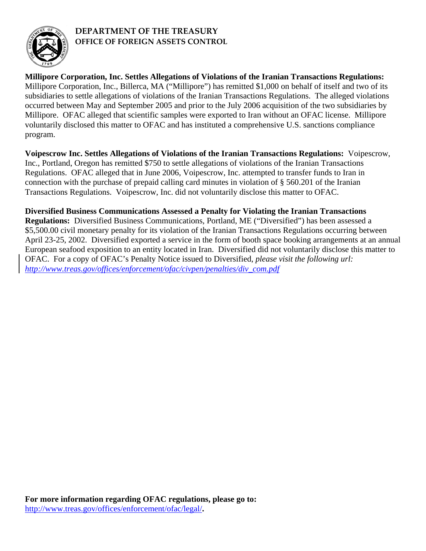

## **DEPARTMENT OF THE TREASURY OFFICE OF FOREIGN ASSETS CONTROL**

**Millipore Corporation, Inc. Settles Allegations of Violations of the Iranian Transactions Regulations:**  Millipore Corporation, Inc., Billerca, MA ("Millipore") has remitted \$1,000 on behalf of itself and two of its subsidiaries to settle allegations of violations of the Iranian Transactions Regulations. The alleged violations occurred between May and September 2005 and prior to the July 2006 acquisition of the two subsidiaries by Millipore. OFAC alleged that scientific samples were exported to Iran without an OFAC license. Millipore voluntarily disclosed this matter to OFAC and has instituted a comprehensive U.S. sanctions compliance program.

**Voipescrow Inc. Settles Allegations of Violations of the Iranian Transactions Regulations:** Voipescrow, Inc., Portland, Oregon has remitted \$750 to settle allegations of violations of the Iranian Transactions Regulations. OFAC alleged that in June 2006, Voipescrow, Inc. attempted to transfer funds to Iran in connection with the purchase of prepaid calling card minutes in violation of § 560.201 of the Iranian Transactions Regulations. Voipescrow, Inc. did not voluntarily disclose this matter to OFAC.

**Diversified Business Communications Assessed a Penalty for Violating the Iranian Transactions Regulations:** Diversified Business Communications, Portland, ME ("Diversified") has been assessed a \$5,500.00 civil monetary penalty for its violation of the Iranian Transactions Regulations occurring between April 23-25, 2002. Diversified exported a service in the form of booth space booking arrangements at an annual European seafood exposition to an entity located in Iran. Diversified did not voluntarily disclose this matter to OFAC. For a copy of OFAC's Penalty Notice issued to Diversified, *please visit the following url: http://www.treas.gov/offices/enforcement/ofac/civpen/penalties/div\_com.pdf*